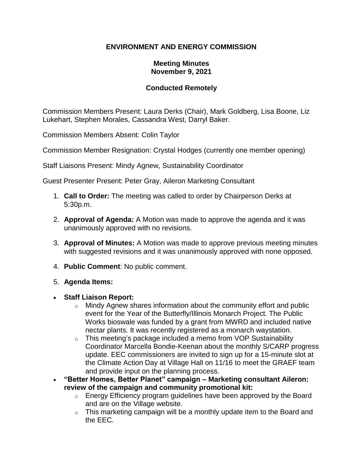# **ENVIRONMENT AND ENERGY COMMISSION**

#### **Meeting Minutes November 9, 2021**

#### **Conducted Remotely**

Commission Members Present: Laura Derks (Chair), Mark Goldberg, Lisa Boone, Liz Lukehart, Stephen Morales, Cassandra West, Darryl Baker.

Commission Members Absent: Colin Taylor

Commission Member Resignation: Crystal Hodges (currently one member opening)

Staff Liaisons Present: Mindy Agnew, Sustainability Coordinator

Guest Presenter Present: Peter Gray, Aileron Marketing Consultant

- 1. **Call to Order:** The meeting was called to order by Chairperson Derks at 5:30p.m.
- 2. **Approval of Agenda:** A Motion was made to approve the agenda and it was unanimously approved with no revisions.
- 3. **Approval of Minutes:** A Motion was made to approve previous meeting minutes with suggested revisions and it was unanimously approved with none opposed.
- 4. **Public Comment**: No public comment.
- 5. **Agenda Items:**
- **Staff Liaison Report:**
	- $\circ$  Mindy Agnew shares information about the community effort and public event for the Year of the Butterfly/Illinois Monarch Project. The Public Works bioswale was funded by a grant from MWRD and included native nectar plants. It was recently registered as a monarch waystation.
	- $\circ$  This meeting's package included a memo from VOP Sustainability Coordinator Marcella Bondie-Keenan about the monthly S/CARP progress update. EEC commissioners are invited to sign up for a 15-minute slot at the Climate Action Day at Village Hall on 11/16 to meet the GRAEF team and provide input on the planning process.
- **"Better Homes, Better Planet" campaign – Marketing consultant Aileron: review of the campaign and community promotional kit:**
	- $\circ$  Energy Efficiency program guidelines have been approved by the Board and are on the Village website.
	- $\circ$  This marketing campaign will be a monthly update item to the Board and the EEC.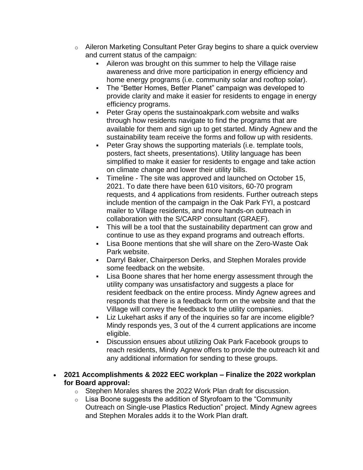- $\circ$  Aileron Marketing Consultant Peter Gray begins to share a quick overview and current status of the campaign:
	- Aileron was brought on this summer to help the Village raise awareness and drive more participation in energy efficiency and home energy programs (i.e. community solar and rooftop solar).
	- The "Better Homes, Better Planet" campaign was developed to provide clarity and make it easier for residents to engage in energy efficiency programs.
	- Peter Gray opens the sustainoakpark.com website and walks through how residents navigate to find the programs that are available for them and sign up to get started. Mindy Agnew and the sustainability team receive the forms and follow up with residents.
	- Peter Gray shows the supporting materials (i.e. template tools, posters, fact sheets, presentations). Utility language has been simplified to make it easier for residents to engage and take action on climate change and lower their utility bills.
	- Timeline The site was approved and launched on October 15, 2021. To date there have been 610 visitors, 60-70 program requests, and 4 applications from residents. Further outreach steps include mention of the campaign in the Oak Park FYI, a postcard mailer to Village residents, and more hands-on outreach in collaboration with the S/CARP consultant (GRAEF).
	- **•** This will be a tool that the sustainability department can grow and continue to use as they expand programs and outreach efforts.
	- Lisa Boone mentions that she will share on the Zero-Waste Oak Park website.
	- Darryl Baker, Chairperson Derks, and Stephen Morales provide some feedback on the website.
	- Lisa Boone shares that her home energy assessment through the utility company was unsatisfactory and suggests a place for resident feedback on the entire process. Mindy Agnew agrees and responds that there is a feedback form on the website and that the Village will convey the feedback to the utility companies.
	- Liz Lukehart asks if any of the inquiries so far are income eligible? Mindy responds yes, 3 out of the 4 current applications are income eligible.
	- Discussion ensues about utilizing Oak Park Facebook groups to reach residents, Mindy Agnew offers to provide the outreach kit and any additional information for sending to these groups.
- **2021 Accomplishments & 2022 EEC workplan – Finalize the 2022 workplan for Board approval:**
	- o Stephen Morales shares the 2022 Work Plan draft for discussion.
	- $\circ$  Lisa Boone suggests the addition of Styrofoam to the "Community" Outreach on Single-use Plastics Reduction" project. Mindy Agnew agrees and Stephen Morales adds it to the Work Plan draft.